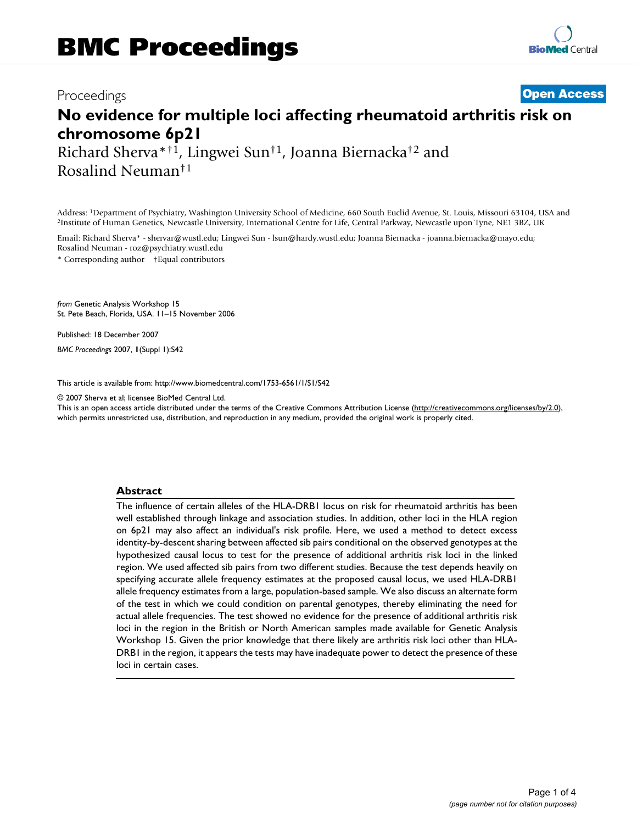# Proceedings **[Open Access](http://www.biomedcentral.com/info/about/charter/)**

# **No evidence for multiple loci affecting rheumatoid arthritis risk on chromosome 6p21**

Richard Sherva\*†1, Lingwei Sun†1, Joanna Biernacka†2 and Rosalind Neuman†1

Address: 1Department of Psychiatry, Washington University School of Medicine, 660 South Euclid Avenue, St. Louis, Missouri 63104, USA and 2Institute of Human Genetics, Newcastle University, International Centre for Life, Central Parkway, Newcastle upon Tyne, NE1 3BZ, UK

Email: Richard Sherva\* - shervar@wustl.edu; Lingwei Sun - lsun@hardy.wustl.edu; Joanna Biernacka - joanna.biernacka@mayo.edu; Rosalind Neuman - roz@psychiatry.wustl.edu

\* Corresponding author †Equal contributors

*from* Genetic Analysis Workshop 15 St. Pete Beach, Florida, USA. 11–15 November 2006

Published: 18 December 2007

*BMC Proceedings* 2007, **1**(Suppl 1):S42

[This article is available from: http://www.biomedcentral.com/1753-6561/1/S1/S42](http://www.biomedcentral.com/1753-6561/1/S1/S42)

© 2007 Sherva et al; licensee BioMed Central Ltd.

This is an open access article distributed under the terms of the Creative Commons Attribution License [\(http://creativecommons.org/licenses/by/2.0\)](http://creativecommons.org/licenses/by/2.0), which permits unrestricted use, distribution, and reproduction in any medium, provided the original work is properly cited.

#### **Abstract**

The influence of certain alleles of the HLA-DRB1 locus on risk for rheumatoid arthritis has been well established through linkage and association studies. In addition, other loci in the HLA region on 6p21 may also affect an individual's risk profile. Here, we used a method to detect excess identity-by-descent sharing between affected sib pairs conditional on the observed genotypes at the hypothesized causal locus to test for the presence of additional arthritis risk loci in the linked region. We used affected sib pairs from two different studies. Because the test depends heavily on specifying accurate allele frequency estimates at the proposed causal locus, we used HLA-DRB1 allele frequency estimates from a large, population-based sample. We also discuss an alternate form of the test in which we could condition on parental genotypes, thereby eliminating the need for actual allele frequencies. The test showed no evidence for the presence of additional arthritis risk loci in the region in the British or North American samples made available for Genetic Analysis Workshop 15. Given the prior knowledge that there likely are arthritis risk loci other than HLA-DRB1 in the region, it appears the tests may have inadequate power to detect the presence of these loci in certain cases.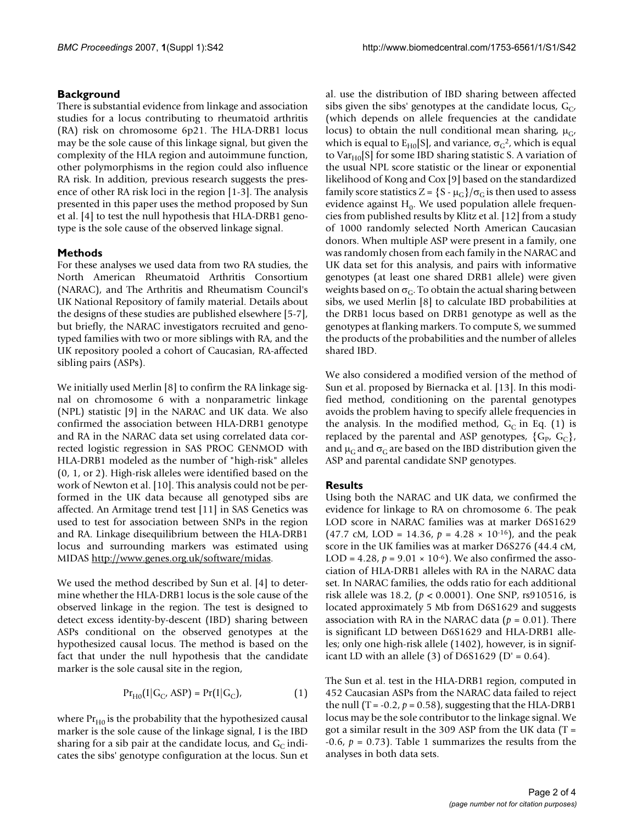## **Background**

There is substantial evidence from linkage and association studies for a locus contributing to rheumatoid arthritis (RA) risk on chromosome 6p21. The HLA-DRB1 locus may be the sole cause of this linkage signal, but given the complexity of the HLA region and autoimmune function, other polymorphisms in the region could also influence RA risk. In addition, previous research suggests the presence of other RA risk loci in the region [1-3]. The analysis presented in this paper uses the method proposed by Sun et al. [4] to test the null hypothesis that HLA-DRB1 genotype is the sole cause of the observed linkage signal.

# **Methods**

For these analyses we used data from two RA studies, the North American Rheumatoid Arthritis Consortium (NARAC), and The Arthritis and Rheumatism Council's UK National Repository of family material. Details about the designs of these studies are published elsewhere [5-7], but briefly, the NARAC investigators recruited and genotyped families with two or more siblings with RA, and the UK repository pooled a cohort of Caucasian, RA-affected sibling pairs (ASPs).

We initially used Merlin [8] to confirm the RA linkage signal on chromosome 6 with a nonparametric linkage (NPL) statistic [9] in the NARAC and UK data. We also confirmed the association between HLA-DRB1 genotype and RA in the NARAC data set using correlated data corrected logistic regression in SAS PROC GENMOD with HLA-DRB1 modeled as the number of "high-risk" alleles (0, 1, or 2). High-risk alleles were identified based on the work of Newton et al. [10]. This analysis could not be performed in the UK data because all genotyped sibs are affected. An Armitage trend test [11] in SAS Genetics was used to test for association between SNPs in the region and RA. Linkage disequilibrium between the HLA-DRB1 locus and surrounding markers was estimated using MIDAS<http://www.genes.org.uk/software/midas>.

We used the method described by Sun et al. [4] to determine whether the HLA-DRB1 locus is the sole cause of the observed linkage in the region. The test is designed to detect excess identity-by-descent (IBD) sharing between ASPs conditional on the observed genotypes at the hypothesized causal locus. The method is based on the fact that under the null hypothesis that the candidate marker is the sole causal site in the region,

$$
Pr_{H0}(I|G_C, ASP) = Pr(I|G_C),
$$
\n(1)

where  $Pr<sub>H0</sub>$  is the probability that the hypothesized causal marker is the sole cause of the linkage signal, I is the IBD sharing for a sib pair at the candidate locus, and  $G<sub>C</sub>$  indicates the sibs' genotype configuration at the locus. Sun et al. use the distribution of IBD sharing between affected sibs given the sibs' genotypes at the candidate locus,  $G_C$ , (which depends on allele frequencies at the candidate locus) to obtain the null conditional mean sharing,  $\mu_{\rm G}$ , which is equal to  $E_{H0}[S]$ , and variance,  $\sigma_G^2$ , which is equal to Va $r_{H0}[S]$  for some IBD sharing statistic S. A variation of the usual NPL score statistic or the linear or exponential likelihood of Kong and Cox [9] based on the standardized family score statistics  $Z = \{S - \mu_G\}/\sigma_G$  is then used to assess evidence against  $H_0$ . We used population allele frequencies from published results by Klitz et al. [12] from a study of 1000 randomly selected North American Caucasian donors. When multiple ASP were present in a family, one was randomly chosen from each family in the NARAC and UK data set for this analysis, and pairs with informative genotypes (at least one shared DRB1 allele) were given weights based on  $\sigma_{\text{C}}$ . To obtain the actual sharing between sibs, we used Merlin [8] to calculate IBD probabilities at the DRB1 locus based on DRB1 genotype as well as the genotypes at flanking markers. To compute S, we summed the products of the probabilities and the number of alleles shared IBD.

We also considered a modified version of the method of Sun et al. proposed by Biernacka et al. [13]. In this modified method, conditioning on the parental genotypes avoids the problem having to specify allele frequencies in the analysis. In the modified method,  $G<sub>C</sub>$  in Eq. (1) is replaced by the parental and ASP genotypes,  $\{G_p, G_c\}$ , and  $\mu$ <sub>G</sub> and  $\sigma$ <sub>G</sub> are based on the IBD distribution given the ASP and parental candidate SNP genotypes.

# **Results**

Using both the NARAC and UK data, we confirmed the evidence for linkage to RA on chromosome 6. The peak LOD score in NARAC families was at marker D6S1629 (47.7 cM, LOD = 14.36,  $p = 4.28 \times 10^{-16}$ ), and the peak score in the UK families was at marker D6S276 (44.4 cM, LOD = 4.28,  $p = 9.01 \times 10^{-6}$ ). We also confirmed the association of HLA-DRB1 alleles with RA in the NARAC data set. In NARAC families, the odds ratio for each additional risk allele was 18.2, (*p* < 0.0001). One SNP, rs910516, is located approximately 5 Mb from D6S1629 and suggests association with RA in the NARAC data (*p* = 0.01). There is significant LD between D6S1629 and HLA-DRB1 alleles; only one high-risk allele (1402), however, is in significant LD with an allele  $(3)$  of D6S1629 (D' = 0.64).

The Sun et al. test in the HLA-DRB1 region, computed in 452 Caucasian ASPs from the NARAC data failed to reject the null  $(T = -0.2, p = 0.58)$ , suggesting that the HLA-DRB1 locus may be the sole contributor to the linkage signal. We got a similar result in the 309 ASP from the UK data  $(T =$ -0.6,  $p = 0.73$ ). Table 1 summarizes the results from the analyses in both data sets.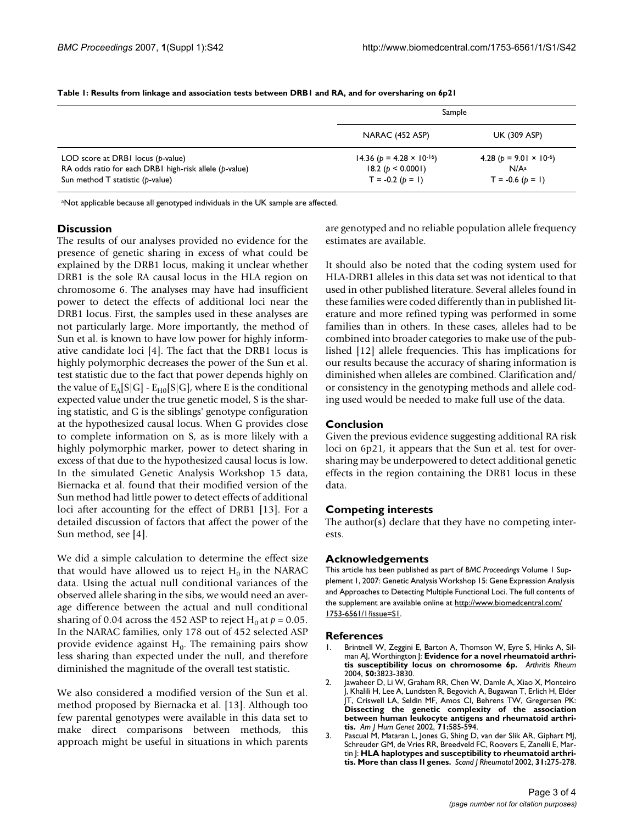|                                                        | Sample                               |                                    |
|--------------------------------------------------------|--------------------------------------|------------------------------------|
|                                                        | NARAC (452 ASP)                      | <b>UK (309 ASP)</b>                |
| LOD score at DRBI locus (p-value)                      | 14.36 ( $p = 4.28 \times 10^{-16}$ ) | 4.28 ( $p = 9.01 \times 10^{-6}$ ) |
| RA odds ratio for each DRBI high-risk allele (p-value) | 18.2 (p < 0.0001)                    | N/A <sup>a</sup>                   |
| Sun method T statistic (p-value)                       | $T = -0.2 (b = 1)$                   | $T = -0.6 (p = 1)$                 |

**Table 1: Results from linkage and association tests between DRB1 and RA, and for oversharing on 6p21**

aNot applicable because all genotyped individuals in the UK sample are affected.

#### **Discussion**

The results of our analyses provided no evidence for the presence of genetic sharing in excess of what could be explained by the DRB1 locus, making it unclear whether DRB1 is the sole RA causal locus in the HLA region on chromosome 6. The analyses may have had insufficient power to detect the effects of additional loci near the DRB1 locus. First, the samples used in these analyses are not particularly large. More importantly, the method of Sun et al. is known to have low power for highly informative candidate loci [4]. The fact that the DRB1 locus is highly polymorphic decreases the power of the Sun et al. test statistic due to the fact that power depends highly on the value of  $E_A[S|G]$  -  $E_{HO}[S|G]$ , where E is the conditional expected value under the true genetic model, S is the sharing statistic, and G is the siblings' genotype configuration at the hypothesized causal locus. When G provides close to complete information on S, as is more likely with a highly polymorphic marker, power to detect sharing in excess of that due to the hypothesized causal locus is low. In the simulated Genetic Analysis Workshop 15 data, Biernacka et al. found that their modified version of the Sun method had little power to detect effects of additional loci after accounting for the effect of DRB1 [13]. For a detailed discussion of factors that affect the power of the Sun method, see [4].

We did a simple calculation to determine the effect size that would have allowed us to reject  $H_0$  in the NARAC data. Using the actual null conditional variances of the observed allele sharing in the sibs, we would need an average difference between the actual and null conditional sharing of 0.04 across the 452 ASP to reject  $H_0$  at  $p = 0.05$ . In the NARAC families, only 178 out of 452 selected ASP provide evidence against  $H_0$ . The remaining pairs show less sharing than expected under the null, and therefore diminished the magnitude of the overall test statistic.

We also considered a modified version of the Sun et al. method proposed by Biernacka et al. [13]. Although too few parental genotypes were available in this data set to make direct comparisons between methods, this approach might be useful in situations in which parents are genotyped and no reliable population allele frequency estimates are available.

It should also be noted that the coding system used for HLA-DRB1 alleles in this data set was not identical to that used in other published literature. Several alleles found in these families were coded differently than in published literature and more refined typing was performed in some families than in others. In these cases, alleles had to be combined into broader categories to make use of the published [12] allele frequencies. This has implications for our results because the accuracy of sharing information is diminished when alleles are combined. Clarification and/ or consistency in the genotyping methods and allele coding used would be needed to make full use of the data.

### **Conclusion**

Given the previous evidence suggesting additional RA risk loci on 6p21, it appears that the Sun et al. test for oversharing may be underpowered to detect additional genetic effects in the region containing the DRB1 locus in these data.

#### **Competing interests**

The author(s) declare that they have no competing interests.

#### **Acknowledgements**

This article has been published as part of *BMC Proceedings* Volume 1 Supplement 1, 2007: Genetic Analysis Workshop 15: Gene Expression Analysis and Approaches to Detecting Multiple Functional Loci. The full contents of the supplement are available online at [http://www.biomedcentral.com/](http://www.biomedcentral.com/1753-6561/1?issue=S1) [1753-6561/1?issue=S1.](http://www.biomedcentral.com/1753-6561/1?issue=S1)

#### **References**

- Brintnell W, Zeggini E, Barton A, Thomson W, Eyre S, Hinks A, Silman AJ, Worthington J: **[Evidence for a novel rheumatoid arthri](http://www.ncbi.nlm.nih.gov/entrez/query.fcgi?cmd=Retrieve&db=PubMed&dopt=Abstract&list_uids=15593216)[tis susceptibility locus on chromosome 6p.](http://www.ncbi.nlm.nih.gov/entrez/query.fcgi?cmd=Retrieve&db=PubMed&dopt=Abstract&list_uids=15593216)** *Arthritis Rheum* 2004, **50:**3823-3830.
- 2. Jawaheer D, Li W, Graham RR, Chen W, Damle A, Xiao X, Monteiro J, Khalili H, Lee A, Lundsten R, Begovich A, Bugawan T, Erlich H, Elder JT, Criswell LA, Seldin MF, Amos CI, Behrens TW, Gregersen PK: **[Dissecting the genetic complexity of the association](http://www.ncbi.nlm.nih.gov/entrez/query.fcgi?cmd=Retrieve&db=PubMed&dopt=Abstract&list_uids=12181776) between human leukocyte antigens and rheumatoid arthri[tis.](http://www.ncbi.nlm.nih.gov/entrez/query.fcgi?cmd=Retrieve&db=PubMed&dopt=Abstract&list_uids=12181776)** *Am J Hum Genet* 2002, **71:**585-594.
- 3. Pascual M, Mataran L, Jones G, Shing D, van der Slik AR, Giphart MJ, Schreuder GM, de Vries RR, Breedveld FC, Roovers E, Zanelli E, Martin J: **[HLA haplotypes and susceptibility to rheumatoid arthri](http://www.ncbi.nlm.nih.gov/entrez/query.fcgi?cmd=Retrieve&db=PubMed&dopt=Abstract&list_uids=12455817)[tis. More than class II genes.](http://www.ncbi.nlm.nih.gov/entrez/query.fcgi?cmd=Retrieve&db=PubMed&dopt=Abstract&list_uids=12455817)** *Scand J Rheumatol* 2002, **31:**275-278.